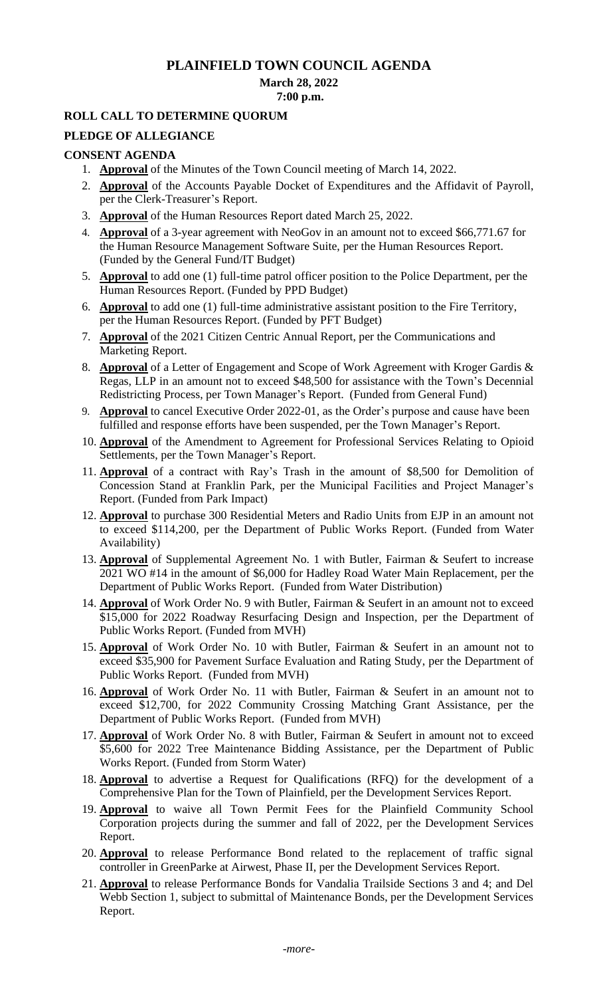# **PLAINFIELD TOWN COUNCIL AGENDA**

# **March 28, 2022**

#### **7:00 p.m.**

# **ROLL CALL TO DETERMINE QUORUM**

## **PLEDGE OF ALLEGIANCE**

### **CONSENT AGENDA**

- 1. **Approval** of the Minutes of the Town Council meeting of March 14, 2022.
- 2. **Approval** of the Accounts Payable Docket of Expenditures and the Affidavit of Payroll, per the Clerk-Treasurer's Report.
- 3. **Approval** of the Human Resources Report dated March 25, 2022.
- 4. **Approval** of a 3-year agreement with NeoGov in an amount not to exceed \$66,771.67 for the Human Resource Management Software Suite, per the Human Resources Report. (Funded by the General Fund/IT Budget)
- 5. **Approval** to add one (1) full-time patrol officer position to the Police Department, per the Human Resources Report. (Funded by PPD Budget)
- 6. **Approval** to add one (1) full-time administrative assistant position to the Fire Territory, per the Human Resources Report. (Funded by PFT Budget)
- 7. **Approval** of the 2021 Citizen Centric Annual Report, per the Communications and Marketing Report.
- 8. **Approval** of a Letter of Engagement and Scope of Work Agreement with Kroger Gardis & Regas, LLP in an amount not to exceed \$48,500 for assistance with the Town's Decennial Redistricting Process, per Town Manager's Report. (Funded from General Fund)
- 9. **Approval** to cancel Executive Order 2022-01, as the Order's purpose and cause have been fulfilled and response efforts have been suspended, per the Town Manager's Report.
- 10. **Approval** of the Amendment to Agreement for Professional Services Relating to Opioid Settlements, per the Town Manager's Report.
- 11. **Approval** of a contract with Ray's Trash in the amount of \$8,500 for Demolition of Concession Stand at Franklin Park, per the Municipal Facilities and Project Manager's Report. (Funded from Park Impact)
- 12. **Approval** to purchase 300 Residential Meters and Radio Units from EJP in an amount not to exceed \$114,200, per the Department of Public Works Report. (Funded from Water Availability)
- 13. **Approval** of Supplemental Agreement No. 1 with Butler, Fairman & Seufert to increase 2021 WO #14 in the amount of \$6,000 for Hadley Road Water Main Replacement, per the Department of Public Works Report. (Funded from Water Distribution)
- 14. **Approval** of Work Order No. 9 with Butler, Fairman & Seufert in an amount not to exceed \$15,000 for 2022 Roadway Resurfacing Design and Inspection, per the Department of Public Works Report. (Funded from MVH)
- 15. **Approval** of Work Order No. 10 with Butler, Fairman & Seufert in an amount not to exceed \$35,900 for Pavement Surface Evaluation and Rating Study, per the Department of Public Works Report. (Funded from MVH)
- 16. **Approval** of Work Order No. 11 with Butler, Fairman & Seufert in an amount not to exceed \$12,700, for 2022 Community Crossing Matching Grant Assistance, per the Department of Public Works Report. (Funded from MVH)
- 17. **Approval** of Work Order No. 8 with Butler, Fairman & Seufert in amount not to exceed \$5,600 for 2022 Tree Maintenance Bidding Assistance, per the Department of Public Works Report. (Funded from Storm Water)
- 18. **Approval** to advertise a Request for Qualifications (RFQ) for the development of a Comprehensive Plan for the Town of Plainfield, per the Development Services Report.
- 19. **Approval** to waive all Town Permit Fees for the Plainfield Community School Corporation projects during the summer and fall of 2022, per the Development Services Report.
- 20. **Approval** to release Performance Bond related to the replacement of traffic signal controller in GreenParke at Airwest, Phase II, per the Development Services Report.
- 21. **Approval** to release Performance Bonds for Vandalia Trailside Sections 3 and 4; and Del Webb Section 1, subject to submittal of Maintenance Bonds, per the Development Services Report.